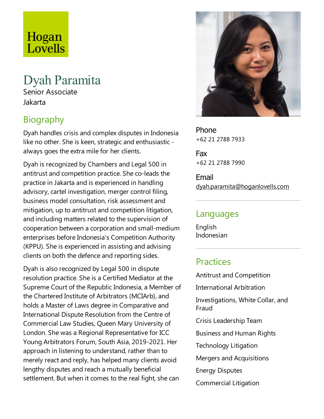# Hogan Lovells

## Dyah Paramita

Senior Associate Jakarta

### Biography

Dyah handles crisis and complex disputes in Indonesia like no other. She is keen, strategic and enthusiastic always goes the extra mile for her clients.

Dyah is recognized by Chambers and Legal 500 in antitrust and competition practice. She co-leads the practice in Jakarta and is experienced in handling advisory, cartel investigation, merger control filing, business model consultation, risk assessment and mitigation, up to antitrust and competition litigation, and including matters related to the supervision of cooperation between acorporation and small-medium enterprises before Indonesia's Competition Authority (KPPU). She is experienced in assisting and advising clients on both the defence and reporting sides.

Dyah is also recognized by Legal 500 in dispute resolution practice. She is a Certified Mediator at the Supreme Court of the Republic Indonesia, a Member of the Chartered Institute of Arbitrators (MCIArb), and holds a Master of Laws degree in Comparative and International Dispute Resolution from the Centre of Commercial Law Studies, Queen Mary University of London. She was a Regional Representative for ICC Young Arbitrators Forum, South Asia, 2019-2021. Her approach in listening to understand, rather than to merely react and reply, has helped many clients avoid lengthy disputes and reach a mutually beneficial settlement. But when it comes to the real fight, she can



Phone +62 21 2788 7933

Fax +62 21 2788 7990

Email dyah.paramita@hoganlovells.com

### Languages

English Indonesian

### **Practices**

Antitrust and Competition International Arbitration Investigations, White Collar, and Fraud Crisis Leadership Team Business and Human Rights Technology Litigation Mergers and Acquisitions Energy Disputes Commercial Litigation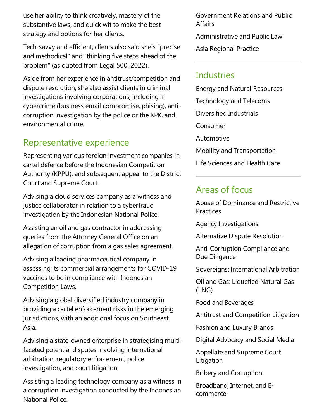use her ability to think creatively, mastery of the substantive laws, and quick wit to make the best strategy and options for her clients.

Tech-savvy and efficient, clients also said she's "precise and methodical" and "thinking five steps ahead of the problem" (as quoted from Legal 500, 2022).

Aside from her experience in antitrust/competition and dispute resolution, she also assist clients in criminal investigations involving corporations, including in cybercrime (business email compromise, phising), anticorruption investigation by the police or the KPK, and environmental crime.

### Representative experience

Representing various foreign investment companies in cartel defence before the Indonesian Competition Authority (KPPU), and subsequent appeal to the District Court and Supreme Court.

Advising a cloud services company as a witness and justice collaborator in relation to a cyberfraud investigation by the Indonesian National Police.

Assisting an oil and gas contractor in addressing queries from the Attorney General Office on an allegation of corruption from a gas sales agreement.

Advising aleading pharmaceutical company in assessing its commercial arrangements for COVID-19 vaccines to be in compliance with Indonesian Competition Laws.

Advising a global diversified industry company in providing a cartel enforcement risks in the emerging jurisdictions, with an additional focus on Southeast Asia.

Advising a state-owned enterprise in strategising multifaceted potential disputes involving international arbitration, regulatory enforcement, police investigation, and court litigation.

Assisting aleading technology company as a witness in a corruption investigation conducted by the Indonesian National Police.

Government Relations and Public **Affairs** 

Administrative and Public Law

Asia Regional Practice

### **Industries**

Energy and Natural Resources Technology and Telecoms Diversified Industrials Consumer Automotive Mobility and Transportation Life Sciences and Health Care

### Areas of focus

Abuse of Dominanceand Restrictive **Practices** 

Agency Investigations

Alternative Dispute Resolution

Anti-Corruption Compliance and Due Diligence

Sovereigns: International Arbitration

Oil and Gas:Liquefied Natural Gas (LNG)

Food and Beverages

Antitrust and Competition Litigation

Fashion and Luxury Brands

Digital Advocacy and Social Media

Appellate and Supreme Court Litigation

Bribery and Corruption

Broadband, Internet, and Ecommerce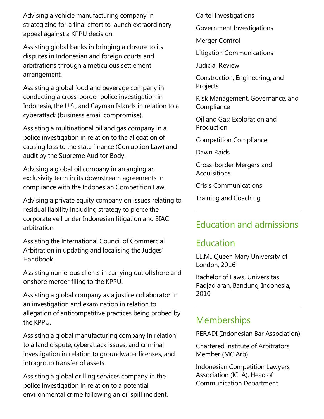Advising avehicle manufacturing company in strategizing for a final effort to launch extraordinary appeal against a KPPU decision.

Assisting global banks in bringing a closure to its disputes in Indonesian and foreign courts and arbitrations through a meticulous settlement arrangement.

Assisting a global food and beverage company in conducting a cross-border police investigation in Indonesia, the U.S., and Cayman Islands in relation to a cyberattack (business email compromise).

Assisting a multinational oil and gas company in a police investigation in relation to the allegation of causing loss to the state finance (Corruption Law) and audit by the Supreme Auditor Body.

Advising a global oil company in arranging an exclusivity term in its downstream agreements in compliance with the Indonesian Competition Law.

Advising a private equity company on issues relating to residual liability including strategy to pierce the corporate veil under Indonesian litigation and SIAC arbitration.

Assisting the International Council of Commercial Arbitration in updating and localising the Judges' Handbook.

Assisting numerous clients in carrying out offshore and onshore merger filing to the KPPU.

Assisting a global company as a justice collaborator in an investigation and examination in relation to allegation of anticompetitive practices being probed by the KPPU.

Assisting a global manufacturing company in relation to a land dispute, cyberattack issues, and criminal investigation in relation to groundwater licenses, and intragroup transfer of assets.

Assisting a global drilling services company in the police investigation in relation to a potential environmental crime following an oil spill incident. Cartel Investigations

Government Investigations

Merger Control

Litigation Communications

Judicial Review

Construction, Engineering, and Projects

Risk Management, Governance, and **Compliance** 

Oil and Gas:Exploration and Production

Competition Compliance

Dawn Raids

Cross-border Mergers and Acquisitions

Crisis Communications

Training and Coaching

### Education and admissions

### Education

LL.M., Queen Mary University of London, 2016

Bachelor of Laws, Universitas Padjadjaran, Bandung, Indonesia, 2010

### **Memberships**

PERADI (Indonesian Bar Association)

Chartered Institute of Arbitrators, Member (MCIArb)

Indonesian Competition Lawyers Association (ICLA), Head of Communication Department